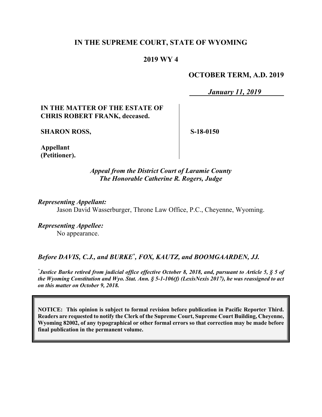## **IN THE SUPREME COURT, STATE OF WYOMING**

#### **2019 WY 4**

## **OCTOBER TERM, A.D. 2019**

*January 11, 2019*

## **IN THE MATTER OF THE ESTATE OF CHRIS ROBERT FRANK, deceased.**

**SHARON ROSS,**

**S-18-0150**

**Appellant (Petitioner).**

#### *Appeal from the District Court of Laramie County The Honorable Catherine R. Rogers, Judge*

*Representing Appellant:*

Jason David Wasserburger, Throne Law Office, P.C., Cheyenne, Wyoming.

*Representing Appellee:* No appearance.

## Before DAVIS, C.J., and BURKE<sup>\*</sup>, FOX, KAUTZ, and BOOMGAARDEN, JJ.

*\* Justice Burke retired from judicial office effective October 8, 2018, and, pursuant to Article 5, § 5 of the Wyoming Constitution and Wyo. Stat. Ann. § 5-1-106(f) (LexisNexis 2017), he was reassigned to act on this matter on October 9, 2018.*

**NOTICE: This opinion is subject to formal revision before publication in Pacific Reporter Third. Readers are requested to notify the Clerk of the Supreme Court, Supreme Court Building, Cheyenne, Wyoming 82002, of any typographical or other formal errors so that correction may be made before final publication in the permanent volume.**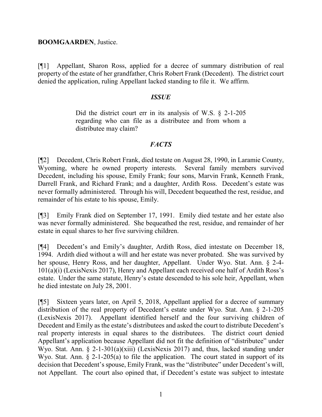#### **BOOMGAARDEN**, Justice.

[¶1] Appellant, Sharon Ross, applied for a decree of summary distribution of real property of the estate of her grandfather, Chris Robert Frank (Decedent). The district court denied the application, ruling Appellant lacked standing to file it. We affirm.

#### *ISSUE*

Did the district court err in its analysis of W.S. § 2-1-205 regarding who can file as a distributee and from whom a distributee may claim?

## *FACTS*

[¶2] Decedent, Chris Robert Frank, died testate on August 28, 1990, in Laramie County, Wyoming, where he owned property interests. Several family members survived Decedent, including his spouse, Emily Frank; four sons, Marvin Frank, Kenneth Frank, Darrell Frank, and Richard Frank; and a daughter, Ardith Ross. Decedent's estate was never formally administered. Through his will, Decedent bequeathed the rest, residue, and remainder of his estate to his spouse, Emily.

[¶3] Emily Frank died on September 17, 1991. Emily died testate and her estate also was never formally administered. She bequeathed the rest, residue, and remainder of her estate in equal shares to her five surviving children.

[¶4] Decedent's and Emily's daughter, Ardith Ross, died intestate on December 18, 1994. Ardith died without a will and her estate was never probated. She was survived by her spouse, Henry Ross, and her daughter, Appellant. Under Wyo. Stat. Ann. § 2-4- 101(a)(i) (LexisNexis 2017), Henry and Appellant each received one half of Ardith Ross's estate. Under the same statute, Henry's estate descended to his sole heir, Appellant, when he died intestate on July 28, 2001.

[¶5] Sixteen years later, on April 5, 2018, Appellant applied for a decree of summary distribution of the real property of Decedent's estate under Wyo. Stat. Ann. § 2-1-205 (LexisNexis 2017). Appellant identified herself and the four surviving children of Decedent and Emily as the estate's distributees and asked the court to distribute Decedent's real property interests in equal shares to the distributees. The district court denied Appellant's application because Appellant did not fit the definition of "distributee" under Wyo. Stat. Ann. § 2-1-301(a)(xiii) (LexisNexis 2017) and, thus, lacked standing under Wyo. Stat. Ann.  $\S$  2-1-205(a) to file the application. The court stated in support of its decision that Decedent's spouse, Emily Frank, was the "distributee" under Decedent's will, not Appellant. The court also opined that, if Decedent's estate was subject to intestate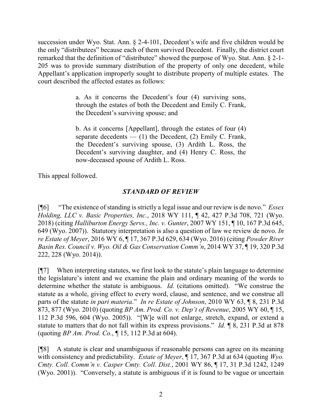succession under Wyo. Stat. Ann. § 2-4-101, Decedent's wife and five children would be the only "distributees" because each of them survived Decedent. Finally, the district court remarked that the definition of "distributee" showed the purpose of Wyo. Stat. Ann. § 2-1- 205 was to provide summary distribution of the property of only one decedent, while Appellant's application improperly sought to distribute property of multiple estates. The court described the affected estates as follows:

> a. As it concerns the Decedent's four (4) surviving sons, through the estates of both the Decedent and Emily C. Frank, the Decedent's surviving spouse; and

> b. As it concerns [Appellant], through the estates of four (4) separate decedents  $-$  (1) the Decedent, (2) Emily C. Frank, the Decedent's surviving spouse, (3) Ardith L. Ross, the Decedent's surviving daughter, and (4) Henry C. Ross, the now-deceased spouse of Ardith L. Ross.

This appeal followed.

# *STANDARD OF REVIEW*

[¶6] "The existence of standing is strictly a legal issue and our review is de novo." *Essex Holding, LLC v. Basic Properties, Inc.*, 2018 WY 111, ¶ 42, 427 P.3d 708, 721 (Wyo. 2018) (citing *Halliburton Energy Servs., Inc. v. Gunter*, 2007 WY 151, ¶ 10, 167 P.3d 645, 649 (Wyo. 2007)). Statutory interpretation is also a question of law we review de novo. *In re Estate of Meyer*, 2016 WY 6, ¶ 17, 367 P.3d 629, 634 (Wyo. 2016) (citing *Powder River Basin Res. Council v. Wyo. Oil & Gas Conservation Comm'n*, 2014 WY 37, ¶ 19, 320 P.3d 222, 228 (Wyo. 2014)).

[¶7] When interpreting statutes, we first look to the statute's plain language to determine the legislature's intent and we examine the plain and ordinary meaning of the words to determine whether the statute is ambiguous. *Id.* (citations omitted). "We construe the statute as a whole, giving effect to every word, clause, and sentence, and we construe all parts of the statute *in pari materia*." *In re Estate of Johnson*, 2010 WY 63, ¶ 8, 231 P.3d 873, 877 (Wyo. 2010) (quoting *BP Am. Prod. Co. v. Dep't of Revenue*, 2005 WY 60, ¶ 15, 112 P.3d 596, 604 (Wyo. 2005)). "[W]e will not enlarge, stretch, expand, or extend a statute to matters that do not fall within its express provisions." *Id.* ¶ 8, 231 P.3d at 878 (quoting *BP Am. Prod. Co.*, ¶ 15, 112 P.3d at 604).

[¶8] A statute is clear and unambiguous if reasonable persons can agree on its meaning with consistency and predictability. *Estate of Meyer*, ¶ 17, 367 P.3d at 634 (quoting *Wyo. Cmty. Coll. Comm'n v. Casper Cmty. Coll. Dist.*, 2001 WY 86, ¶ 17, 31 P.3d 1242, 1249 (Wyo. 2001)). "Conversely, a statute is ambiguous if it is found to be vague or uncertain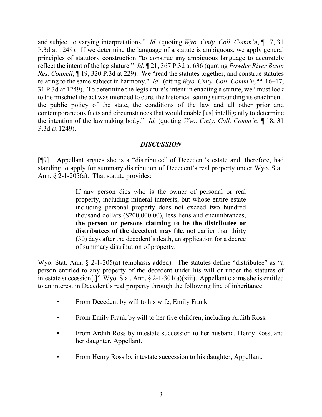and subject to varying interpretations." *Id.* (quoting *Wyo. Cmty. Coll. Comm'n*, ¶ 17, 31 P.3d at 1249). If we determine the language of a statute is ambiguous, we apply general principles of statutory construction "to construe any ambiguous language to accurately reflect the intent of the legislature." *Id.* ¶ 21, 367 P.3d at 636 (quoting *Powder River Basin Res. Council*, ¶ 19, 320 P.3d at 229). We "read the statutes together, and construe statutes relating to the same subject in harmony." *Id.* (citing *Wyo. Cmty. Coll. Comm'n*, ¶¶ 16–17, 31 P.3d at 1249). To determine the legislature's intent in enacting a statute, we "must look to the mischief the act was intended to cure, the historical setting surrounding its enactment, the public policy of the state, the conditions of the law and all other prior and contemporaneous facts and circumstances that would enable [us] intelligently to determine the intention of the lawmaking body." *Id.* (quoting *Wyo. Cmty. Coll. Comm'n*, ¶ 18, 31 P.3d at 1249).

## *DISCUSSION*

[¶9] Appellant argues she is a "distributee" of Decedent's estate and, therefore, had standing to apply for summary distribution of Decedent's real property under Wyo. Stat. Ann.  $\S$  2-1-205(a). That statute provides:

> If any person dies who is the owner of personal or real property, including mineral interests, but whose entire estate including personal property does not exceed two hundred thousand dollars (\$200,000.00), less liens and encumbrances, **the person or persons claiming to be the distributee or distributees of the decedent may file**, not earlier than thirty (30) days after the decedent's death, an application for a decree of summary distribution of property.

Wyo. Stat. Ann. § 2-1-205(a) (emphasis added). The statutes define "distributee" as "a person entitled to any property of the decedent under his will or under the statutes of intestate succession[.]" Wyo. Stat. Ann.  $\S 2$ -1-301(a)(xiii). Appellant claims she is entitled to an interest in Decedent's real property through the following line of inheritance:

- From Decedent by will to his wife, Emily Frank.
- From Emily Frank by will to her five children, including Ardith Ross.
- From Ardith Ross by intestate succession to her husband, Henry Ross, and her daughter, Appellant.
- From Henry Ross by intestate succession to his daughter, Appellant.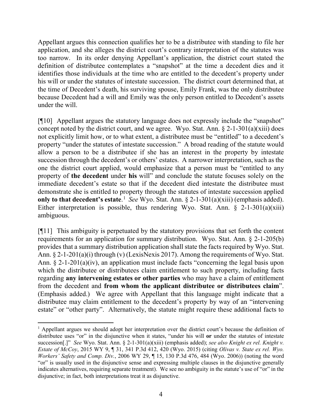Appellant argues this connection qualifies her to be a distributee with standing to file her application, and she alleges the district court's contrary interpretation of the statutes was too narrow. In its order denying Appellant's application, the district court stated the definition of distributee contemplates a "snapshot" at the time a decedent dies and it identifies those individuals at the time who are entitled to the decedent's property under his will or under the statutes of intestate succession. The district court determined that, at the time of Decedent's death, his surviving spouse, Emily Frank, was the only distributee because Decedent had a will and Emily was the only person entitled to Decedent's assets under the will.

[¶10] Appellant argues the statutory language does not expressly include the "snapshot" concept noted by the district court, and we agree. Wyo. Stat. Ann.  $\S 2$ -1-301(a)(xiii) does not explicitly limit how, or to what extent, a distributee must be "entitled" to a decedent's property "under the statutes of intestate succession." A broad reading of the statute would allow a person to be a distributee if she has an interest in the property by intestate succession through the decedent's or others' estates. A narrower interpretation, such as the one the district court applied, would emphasize that a person must be "entitled to any property of **the decedent** under **his** will" and conclude the statute focuses solely on the immediate decedent's estate so that if the decedent died intestate the distributee must demonstrate she is entitled to property through the statutes of intestate succession applied **only to that decedent's estate**. [1](#page-4-0) *See* Wyo. Stat. Ann. § 2-1-301(a)(xiii) (emphasis added). Either interpretation is possible, thus rendering Wyo. Stat. Ann.  $\S$  2-1-301(a)(xiii) ambiguous.

[¶11] This ambiguity is perpetuated by the statutory provisions that set forth the content requirements for an application for summary distribution. Wyo. Stat. Ann. § 2-1-205(b) provides that a summary distribution application shall state the facts required by Wyo. Stat. Ann. § 2-1-201(a)(i) through (v) (LexisNexis 2017). Among the requirements of Wyo. Stat. Ann. § 2-1-201(a)(iv), an application must include facts "concerning the legal basis upon which the distributee or distributees claim entitlement to such property, including facts regarding **any intervening estates or other parties** who may have a claim of entitlement from the decedent and **from whom the applicant distributee or distributees claim**". (Emphasis added.) We agree with Appellant that this language might indicate that a distributee may claim entitlement to the decedent's property by way of an "intervening estate" or "other party". Alternatively, the statute might require these additional facts to

<span id="page-4-0"></span> <sup>1</sup> Appellant argues we should adopt her interpretation over the district court's because the definition of distributee uses "or" in the disjunctive when it states, "under his will **or** under the statutes of intestate succession[.]" *See* Wyo. Stat. Ann. § 2-1-301(a)(xiii) (emphasis added); *see also Knight ex rel. Knight v. Estate of McCoy*, 2015 WY 9, ¶ 31, 341 P.3d 412, 420 (Wyo. 2015) (citing *Olivas v. State ex rel. Wyo. Workers' Safety and Comp. Div.*, 2006 WY 29, ¶ 15, 130 P.3d 476, 484 (Wyo. 2006)) (noting the word "or" is usually used in the disjunctive sense and expressing multiple clauses in the disjunctive generally indicates alternatives, requiring separate treatment). We see no ambiguity in the statute's use of "or" in the disjunctive; in fact, both interpretations treat it as disjunctive.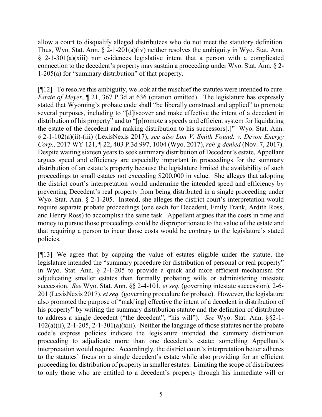allow a court to disqualify alleged distributees who do not meet the statutory definition. Thus, Wyo. Stat. Ann.  $\S 2$ -1-201(a)(iv) neither resolves the ambiguity in Wyo. Stat. Ann. § 2-1-301(a)(xiii) nor evidences legislative intent that a person with a complicated connection to the decedent's property may sustain a proceeding under Wyo. Stat. Ann. § 2- 1-205(a) for "summary distribution" of that property.

[¶12] To resolve this ambiguity, we look at the mischief the statutes were intended to cure. *Estate of Meyer*, ¶ 21, 367 P.3d at 636 (citation omitted). The legislature has expressly stated that Wyoming's probate code shall "be liberally construed and applied" to promote several purposes, including to "[d]iscover and make effective the intent of a decedent in distribution of his property" and to "[p]romote a speedy and efficient system for liquidating the estate of the decedent and making distribution to his successors[.]" Wyo. Stat. Ann. § 2-1-102(a)(ii)-(iii) (LexisNexis 2017); *see also Lon V. Smith Found. v. Devon Energy Corp.*, 2017 WY 121, ¶ 22, 403 P.3d 997, 1004 (Wyo. 2017), *reh'g denied* (Nov. 7, 2017). Despite waiting sixteen years to seek summary distribution of Decedent's estate, Appellant argues speed and efficiency are especially important in proceedings for the summary distribution of an estate's property because the legislature limited the availability of such proceedings to small estates not exceeding \$200,000 in value. She alleges that adopting the district court's interpretation would undermine the intended speed and efficiency by preventing Decedent's real property from being distributed in a single proceeding under Wyo. Stat. Ann. § 2-1-205. Instead, she alleges the district court's interpretation would require separate probate proceedings (one each for Decedent, Emily Frank, Ardith Ross, and Henry Ross) to accomplish the same task. Appellant argues that the costs in time and money to pursue those proceedings could be disproportionate to the value of the estate and that requiring a person to incur those costs would be contrary to the legislature's stated policies.

[¶13] We agree that by capping the value of estates eligible under the statute, the legislature intended the "summary procedure for distribution of personal or real property" in Wyo. Stat. Ann. § 2-1-205 to provide a quick and more efficient mechanism for adjudicating smaller estates than formally probating wills or administering intestate succession. *See* Wyo. Stat. Ann. §§ 2-4-101, *et seq.* (governing intestate succession), 2-6- 201 (LexisNexis 2017), *et seq.* (governing procedure for probate). However, the legislature also promoted the purpose of "mak[ing] effective the intent of a decedent in distribution of his property" by writing the summary distribution statute and the definition of distributee to address a single decedent ("the decedent", "his will"). *See* Wyo. Stat. Ann. §§2-1-  $102(a)(ii)$ , 2-1-205, 2-1-301(a)(xiii). Neither the language of those statutes nor the probate code's express policies indicate the legislature intended the summary distribution proceeding to adjudicate more than one decedent's estate; something Appellant's interpretation would require. Accordingly, the district court's interpretation better adheres to the statutes' focus on a single decedent's estate while also providing for an efficient proceeding for distribution of property in smaller estates. Limiting the scope of distributees to only those who are entitled to a decedent's property through his immediate will or